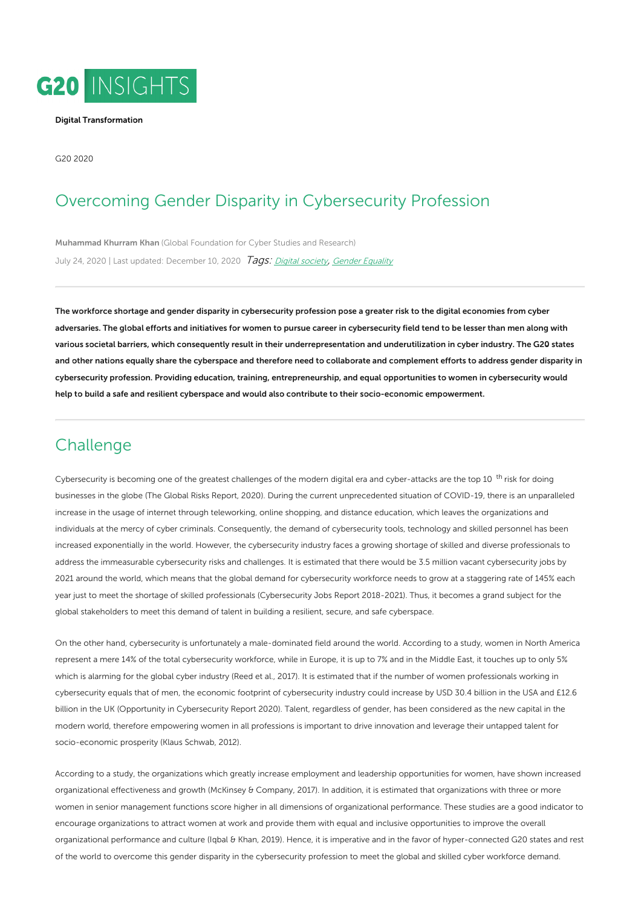

#### Digital [Transformation](https://www.g20-insights.org/policy_area/the-future-of-work-and-education-in-the-digital-age/)

G20 2020

# Overcoming Gender Disparity in Cybersecurity Profession

[Muhammad](https://www.g20-insights.org/authors/muhammad-khurram-khan/) Khurram Khan (Global [Foundation](https://www.g20-insights.org/think_tanks/global-foundation-for-cyber-studies-and-research/) for Cyber Studies and Research) July 24, 2020 | Last updated: December 10, 2020 Tags: Digital [society](/tag/digital-society), Gender [Equality](/tag/gender-equality)

The workforce shortage and gender disparity in cybersecurity profession pose a greater risk to the digital economies from cyber adversaries. The global efforts and initiatives for women to pursue career in cybersecurity field tend to be lesser than men along with various societal barriers, which consequently result in their underrepresentation and underutilization in cyber industry. The G20 states and other nations equally share the cyberspace and therefore need to collaborate and complement efforts to address gender disparity in cybersecurity profession. Providing education, training, entrepreneurship, and equal opportunities to women in cybersecurity would help to build a safe and resilient cyberspace and would also contribute to their socio-economic empowerment.

# **Challenge**

Cybersecurity is becoming one of the greatest challenges of the modern digital era and cyber-attacks are the top 10<sup>th</sup> risk for doing businesses in the globe (The Global Risks Report, 2020). During the current unprecedented situation of COVID-19, there is an unparalleled increase in the usage of internet through teleworking, online shopping, and distance education, which leaves the organizations and individuals at the mercy of cyber criminals. Consequently, the demand of cybersecurity tools, technology and skilled personnel has been increased exponentially in the world. However, the cybersecurity industry faces a growing shortage of skilled and diverse professionals to address the immeasurable cybersecurity risks and challenges. It is estimated that there would be 3.5 million vacant cybersecurity jobs by 2021 around the world, which means that the global demand for cybersecurity workforce needs to grow at a staggering rate of 145% each year just to meet the shortage of skilled professionals (Cybersecurity Jobs Report 2018-2021). Thus, it becomes a grand subject for the global stakeholders to meet this demand of talent in building a resilient, secure, and safe cyberspace.

On the other hand, cybersecurity is unfortunately a male-dominated field around the world. According to a study, women in North America represent a mere 14% of the total cybersecurity workforce, while in Europe, it is up to 7% and in the Middle East, it touches up to only 5% which is alarming for the global cyber industry (Reed et al., 2017). It is estimated that if the number of women professionals working in cybersecurity equals that of men, the economic footprint of cybersecurity industry could increase by USD 30.4 billion in the USA and £12.6 billion in the UK (Opportunity in Cybersecurity Report 2020). Talent, regardless of gender, has been considered as the new capital in the modern world, therefore empowering women in all professions is important to drive innovation and leverage their untapped talent for socio-economic prosperity (Klaus Schwab, 2012).

According to a study, the organizations which greatly increase employment and leadership opportunities for women, have shown increased organizational effectiveness and growth (McKinsey & Company, 2017). In addition, it is estimated that organizations with three or more women in senior management functions score higher in all dimensions of organizational performance. These studies are a good indicator to encourage organizations to attract women at work and provide them with equal and inclusive opportunities to improve the overall organizational performance and culture (Iqbal & Khan, 2019). Hence, it is imperative and in the favor of hyper-connected G20 states and rest of the world to overcome this gender disparity in the cybersecurity profession to meet the global and skilled cyber workforce demand.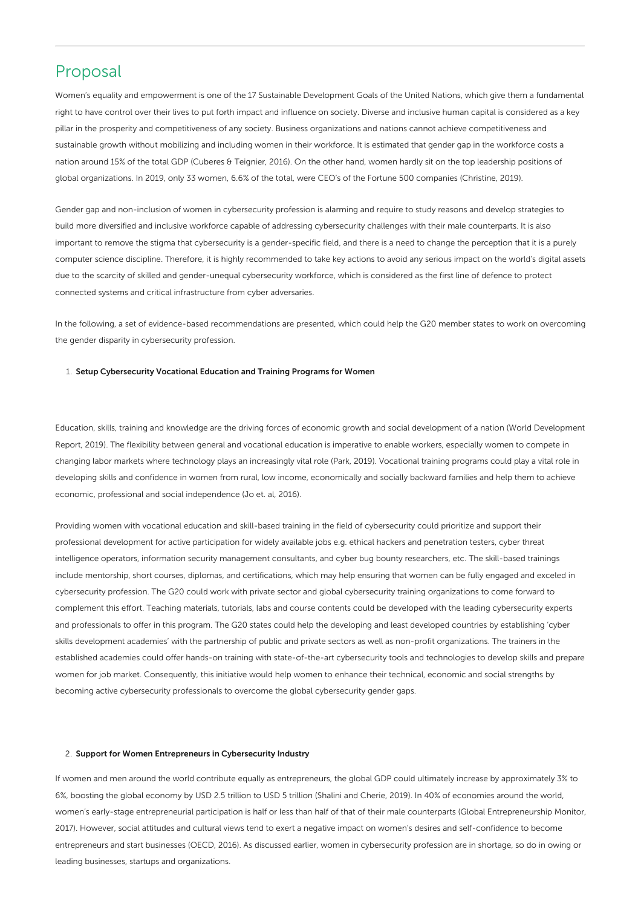# Proposal

Women's equality and empowerment is one of the 17 Sustainable Development Goals of the United Nations, which give them a fundamental right to have control over their lives to put forth impact and influence on society. Diverse and inclusive human capital is considered as a key pillar in the prosperity and competitiveness of any society. Business organizations and nations cannot achieve competitiveness and sustainable growth without mobilizing and including women in their workforce. It is estimated that gender gap in the workforce costs a nation around 15% of the total GDP (Cuberes & Teignier, 2016). On the other hand, women hardly sit on the top leadership positions of global organizations. In 2019, only 33 women, 6.6% of the total, were CEO's of the Fortune 500 companies (Christine, 2019).

Gender gap and non-inclusion of women in cybersecurity profession is alarming and require to study reasons and develop strategies to build more diversified and inclusive workforce capable of addressing cybersecurity challenges with their male counterparts. It is also important to remove the stigma that cybersecurity is a gender-specific field, and there is a need to change the perception that it is a purely computer science discipline. Therefore, it is highly recommended to take key actions to avoid any serious impact on the world's digital assets due to the scarcity of skilled and gender-unequal cybersecurity workforce, which is considered as the first line of defence to protect connected systems and critical infrastructure from cyber adversaries.

In the following, a set of evidence-based recommendations are presented, which could help the G20 member states to work on overcoming the gender disparity in cybersecurity profession.

## 1. Setup Cybersecurity Vocational Education and Training Programs for Women

Education, skills, training and knowledge are the driving forces of economic growth and social development of a nation (World Development Report, 2019). The flexibility between general and vocational education is imperative to enable workers, especially women to compete in changing labor markets where technology plays an increasingly vital role (Park, 2019). Vocational training programs could play a vital role in developing skills and confidence in women from rural, low income, economically and socially backward families and help them to achieve economic, professional and social independence (Jo et. al, 2016).

Providing women with vocational education and skill-based training in the field of cybersecurity could prioritize and support their professional development for active participation for widely available jobs e.g. ethical hackers and penetration testers, cyber threat intelligence operators, information security management consultants, and cyber bug bounty researchers, etc. The skill-based trainings include mentorship, short courses, diplomas, and certifications, which may help ensuring that women can be fully engaged and exceled in cybersecurity profession. The G20 could work with private sector and global cybersecurity training organizations to come forward to complement this effort. Teaching materials, tutorials, labs and course contents could be developed with the leading cybersecurity experts and professionals to offer in this program. The G20 states could help the developing and least developed countries by establishing 'cyber skills development academies' with the partnership of public and private sectors as well as non-profit organizations. The trainers in the established academies could offer hands-on training with state-of-the-art cybersecurity tools and technologies to develop skills and prepare women for job market. Consequently, this initiative would help women to enhance their technical, economic and social strengths by becoming active cybersecurity professionals to overcome the global cybersecurity gender gaps.

### 2. Support for Women Entrepreneurs in Cybersecurity Industry

If women and men around the world contribute equally as entrepreneurs, the global GDP could ultimately increase by approximately 3% to 6%, boosting the global economy by USD 2.5 trillion to USD 5 trillion (Shalini and Cherie, 2019). In 40% of economies around the world, women's early-stage entrepreneurial participation is half or less than half of that of their male counterparts (Global Entrepreneurship Monitor, 2017). However, social attitudes and cultural views tend to exert a negative impact on women's desires and self-confidence to become entrepreneurs and start businesses (OECD, 2016). As discussed earlier, women in cybersecurity profession are in shortage, so do in owing or leading businesses, startups and organizations.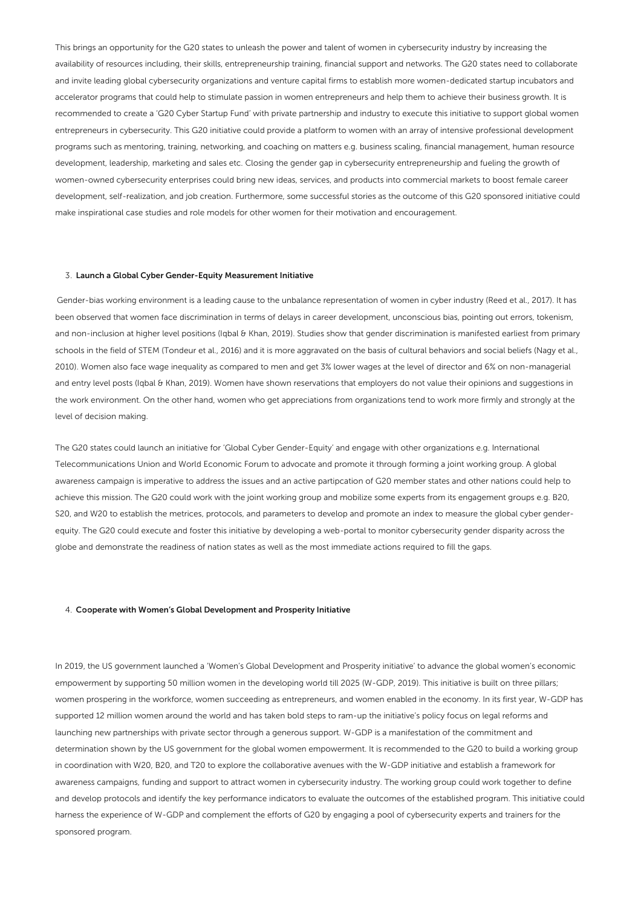This brings an opportunity for the G20 states to unleash the power and talent of women in cybersecurity industry by increasing the availability of resources including, their skills, entrepreneurship training, financial support and networks. The G20 states need to collaborate and invite leading global cybersecurity organizations and venture capital firms to establish more women-dedicated startup incubators and accelerator programs that could help to stimulate passion in women entrepreneurs and help them to achieve their business growth. It is recommended to create a 'G20 Cyber Startup Fund' with private partnership and industry to execute this initiative to support global women entrepreneurs in cybersecurity. This G20 initiative could provide a platform to women with an array of intensive professional development programs such as mentoring, training, networking, and coaching on matters e.g. business scaling, financial management, human resource development, leadership, marketing and sales etc. Closing the gender gap in cybersecurity entrepreneurship and fueling the growth of women-owned cybersecurity enterprises could bring new ideas, services, and products into commercial markets to boost female career development, self-realization, and job creation. Furthermore, some successful stories as the outcome of this G20 sponsored initiative could make inspirational case studies and role models for other women for their motivation and encouragement.

### 3. Launch a Global Cyber Gender-Equity Measurement Initiative

Gender-bias working environment is a leading cause to the unbalance representation of women in cyber industry (Reed et al., 2017). It has been observed that women face discrimination in terms of delays in career development, unconscious bias, pointing out errors, tokenism, and non-inclusion at higher level positions (Iqbal & Khan, 2019). Studies show that gender discrimination is manifested earliest from primary schools in the field of STEM (Tondeur et al., 2016) and it is more aggravated on the basis of cultural behaviors and social beliefs (Nagy et al., 2010). Women also face wage inequality as compared to men and get 3% lower wages at the level of director and 6% on non-managerial and entry level posts (Iqbal & Khan, 2019). Women have shown reservations that employers do not value their opinions and suggestions in the work environment. On the other hand, women who get appreciations from organizations tend to work more firmly and strongly at the level of decision making.

The G20 states could launch an initiative for 'Global Cyber Gender-Equity' and engage with other organizations e.g. International Telecommunications Union and World Economic Forum to advocate and promote it through forming a joint working group. A global awareness campaign is imperative to address the issues and an active partipcation of G20 member states and other nations could help to achieve this mission. The G20 could work with the joint working group and mobilize some experts from its engagement groups e.g. B20, S20, and W20 to establish the metrices, protocols, and parameters to develop and promote an index to measure the global cyber genderequity. The G20 could execute and foster this initiative by developing a web-portal to monitor cybersecurity gender disparity across the globe and demonstrate the readiness of nation states as well as the most immediate actions required to fill the gaps.

### 4. Cooperate with Women's Global Development and Prosperity Initiative

In 2019, the US government launched a 'Women's Global Development and Prosperity initiative' to advance the global women's economic empowerment by supporting 50 million women in the developing world till 2025 (W-GDP, 2019). This initiative is built on three pillars; women prospering in the workforce, women succeeding as entrepreneurs, and women enabled in the economy. In its first year, W-GDP has supported 12 million women around the world and has taken bold steps to ram-up the initiative's policy focus on legal reforms and launching new partnerships with private sector through a generous support. W-GDP is a manifestation of the commitment and determination shown by the US government for the global women empowerment. It is recommended to the G20 to build a working group in coordination with W20, B20, and T20 to explore the collaborative avenues with the W-GDP initiative and establish a framework for awareness campaigns, funding and support to attract women in cybersecurity industry. The working group could work together to define and develop protocols and identify the key performance indicators to evaluate the outcomes of the established program. This initiative could harness the experience of W-GDP and complement the efforts of G20 by engaging a pool of cybersecurity experts and trainers for the sponsored program.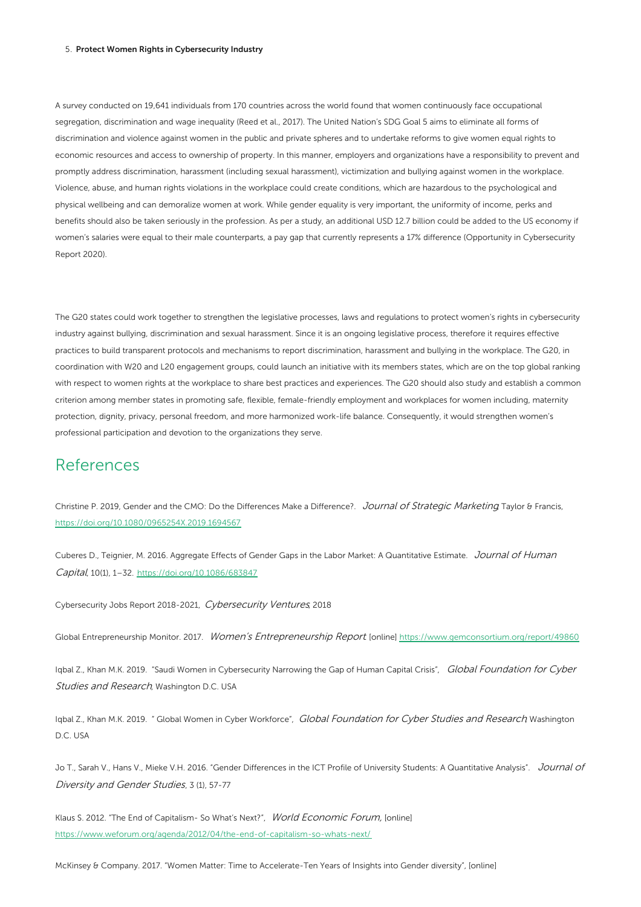#### 5. Protect Women Rights in Cybersecurity Industry

A survey conducted on 19,641 individuals from 170 countries across the world found that women continuously face occupational segregation, discrimination and wage inequality (Reed et al., 2017). The United Nation's SDG Goal 5 aims to eliminate all forms of discrimination and violence against women in the public and private spheres and to undertake reforms to give women equal rights to economic resources and access to ownership of property. In this manner, employers and organizations have a responsibility to prevent and promptly address discrimination, harassment (including sexual harassment), victimization and bullying against women in the workplace. Violence, abuse, and human rights violations in the workplace could create conditions, which are hazardous to the psychological and physical wellbeing and can demoralize women at work. While gender equality is very important, the uniformity of income, perks and benefits should also be taken seriously in the profession. As per a study, an additional USD 12.7 billion could be added to the US economy if women's salaries were equal to their male counterparts, a pay gap that currently represents a 17% difference (Opportunity in Cybersecurity Report 2020).

The G20 states could work together to strengthen the legislative processes, laws and regulations to protect women's rights in cybersecurity industry against bullying, discrimination and sexual harassment. Since it is an ongoing legislative process, therefore it requires effective practices to build transparent protocols and mechanisms to report discrimination, harassment and bullying in the workplace. The G20, in coordination with W20 and L20 engagement groups, could launch an initiative with its members states, which are on the top global ranking with respect to women rights at the workplace to share best practices and experiences. The G20 should also study and establish a common criterion among member states in promoting safe, flexible, female-friendly employment and workplaces for women including, maternity protection, dignity, privacy, personal freedom, and more harmonized work-life balance. Consequently, it would strengthen women's professional participation and devotion to the organizations they serve.

## References

Christine P. 2019, Gender and the CMO: Do the Differences Make a Difference?. Journal of Strategic Marketing Taylor & Francis, <https://doi.org/10.1080/0965254X.2019.1694567>

Cuberes D., Teignier, M. 2016. Aggregate Effects of Gender Gaps in the Labor Market: A Quantitative Estimate. Journal of Human Capital, 10(1), 1–32. <https://doi.org/10.1086/683847>

Cybersecurity Jobs Report 2018-2021, Cybersecurity Ventures, 2018

Global Entrepreneurship Monitor. 2017. Women's Entrepreneurship Report [online] <https://www.gemconsortium.org/report/49860>

Iqbal Z., Khan M.K. 2019. "Saudi Women in Cybersecurity Narrowing the Gap of Human Capital Crisis", Global Foundation for Cyber Studies and Research, Washington D.C. USA

Iqbal Z., Khan M.K. 2019. " Global Women in Cyber Workforce", Global Foundation for Cyber Studies and Research Washington D.C. USA

Jo T., Sarah V., Hans V., Mieke V.H. 2016. "Gender Differences in the ICT Profile of University Students: A Quantitative Analysis". Journal of Diversity and Gender Studies, 3 (1), 57-77

Klaus S. 2012. "The End of Capitalism- So What's Next?", World Economic Forum, [online] <https://www.weforum.org/agenda/2012/04/the-end-of-capitalism-so-whats-next/>

McKinsey & Company. 2017. "Women Matter: Time to Accelerate-Ten Years of Insights into Gender diversity", [online]